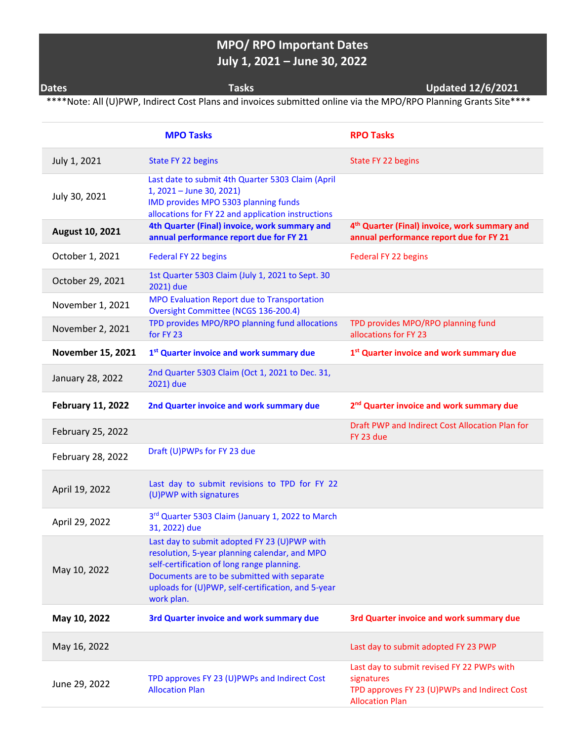## **MPO/ RPO Important Dates July 1, 2021 – June 30, 2022**

**Dates Tasks Updated 12/6/2021**

\*\*\*\*Note: All (U)PWP, Indirect Cost Plans and invoices submitted online via the MPO/RPO Planning Grants Site\*\*\*\*

|                          | <b>MPO Tasks</b>                                                                                                                                                                                                                                               | <b>RPO Tasks</b>                                                                                                                   |
|--------------------------|----------------------------------------------------------------------------------------------------------------------------------------------------------------------------------------------------------------------------------------------------------------|------------------------------------------------------------------------------------------------------------------------------------|
| July 1, 2021             | State FY 22 begins                                                                                                                                                                                                                                             | State FY 22 begins                                                                                                                 |
| July 30, 2021            | Last date to submit 4th Quarter 5303 Claim (April<br>1, 2021 - June 30, 2021)<br>IMD provides MPO 5303 planning funds<br>allocations for FY 22 and application instructions                                                                                    |                                                                                                                                    |
| August 10, 2021          | 4th Quarter (Final) invoice, work summary and<br>annual performance report due for FY 21                                                                                                                                                                       | 4 <sup>th</sup> Quarter (Final) invoice, work summary and<br>annual performance report due for FY 21                               |
| October 1, 2021          | Federal FY 22 begins                                                                                                                                                                                                                                           | Federal FY 22 begins                                                                                                               |
| October 29, 2021         | 1st Quarter 5303 Claim (July 1, 2021 to Sept. 30<br>2021) due                                                                                                                                                                                                  |                                                                                                                                    |
| November 1, 2021         | MPO Evaluation Report due to Transportation<br>Oversight Committee (NCGS 136-200.4)                                                                                                                                                                            |                                                                                                                                    |
| November 2, 2021         | TPD provides MPO/RPO planning fund allocations<br>for FY 23                                                                                                                                                                                                    | TPD provides MPO/RPO planning fund<br>allocations for FY 23                                                                        |
| <b>November 15, 2021</b> | 1 <sup>st</sup> Quarter invoice and work summary due                                                                                                                                                                                                           | 1 <sup>st</sup> Quarter invoice and work summary due                                                                               |
| January 28, 2022         | 2nd Quarter 5303 Claim (Oct 1, 2021 to Dec. 31,<br>2021) due                                                                                                                                                                                                   |                                                                                                                                    |
| <b>February 11, 2022</b> | 2nd Quarter invoice and work summary due                                                                                                                                                                                                                       | 2 <sup>nd</sup> Quarter invoice and work summary due                                                                               |
| February 25, 2022        |                                                                                                                                                                                                                                                                | Draft PWP and Indirect Cost Allocation Plan for<br>FY 23 due                                                                       |
| February 28, 2022        | Draft (U)PWPs for FY 23 due                                                                                                                                                                                                                                    |                                                                                                                                    |
| April 19, 2022           | Last day to submit revisions to TPD for FY 22<br>(U)PWP with signatures                                                                                                                                                                                        |                                                                                                                                    |
| April 29, 2022           | 3rd Quarter 5303 Claim (January 1, 2022 to March<br>31, 2022) due                                                                                                                                                                                              |                                                                                                                                    |
| May 10, 2022             | Last day to submit adopted FY 23 (U)PWP with<br>resolution, 5-year planning calendar, and MPO<br>self-certification of long range planning.<br>Documents are to be submitted with separate<br>uploads for (U)PWP, self-certification, and 5-year<br>work plan. |                                                                                                                                    |
| May 10, 2022             | 3rd Quarter invoice and work summary due                                                                                                                                                                                                                       | 3rd Quarter invoice and work summary due                                                                                           |
| May 16, 2022             |                                                                                                                                                                                                                                                                | Last day to submit adopted FY 23 PWP                                                                                               |
| June 29, 2022            | TPD approves FY 23 (U)PWPs and Indirect Cost<br><b>Allocation Plan</b>                                                                                                                                                                                         | Last day to submit revised FY 22 PWPs with<br>signatures<br>TPD approves FY 23 (U)PWPs and Indirect Cost<br><b>Allocation Plan</b> |